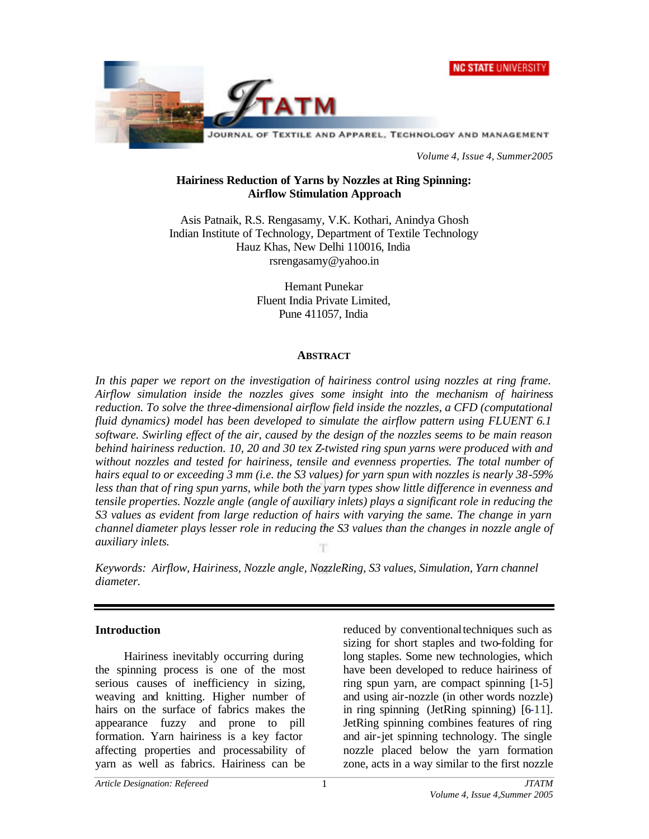



*Volume 4, Issue 4, Summer2005*

### **Hairiness Reduction of Yarns by Nozzles at Ring Spinning: Airflow Stimulation Approach**

Asis Patnaik, R.S. Rengasamy, V.K. Kothari, Anindya Ghosh Indian Institute of Technology, Department of Textile Technology Hauz Khas, New Delhi 110016, India rsrengasamy@yahoo.in

> Hemant Punekar Fluent India Private Limited, Pune 411057, India

#### **ABSTRACT**

In this paper we report on the investigation of hairiness control using nozzles at ring frame. *Airflow simulation inside the nozzles gives some insight into the mechanism of hairiness reduction. To solve the three-dimensional airflow field inside the nozzles, a CFD (computational fluid dynamics) model has been developed to simulate the airflow pattern using FLUENT 6.1 software. Swirling effect of the air, caused by the design of the nozzles seems to be main reason behind hairiness reduction. 10, 20 and 30 tex Z-twisted ring spun yarns were produced with and without nozzles and tested for hairiness, tensile and evenness properties. The total number of hairs equal to or exceeding 3 mm (i.e. the S3 values) for yarn spun with nozzles is nearly 38-59% less than that of ring spun yarns, while both the yarn types show little difference in evenness and tensile properties. Nozzle angle (angle of auxiliary inlets) plays a significant role in reducing the S3 values as evident from large reduction of hairs with varying the same. The change in yarn channel diameter plays lesser role in reducing the S3 values than the changes in nozzle angle of auxiliary inlets.*

*Keywords: Airflow, Hairiness, Nozzle angle, NozzleRing, S3 values, Simulation, Yarn channel diameter.*

### **Introduction**

Hairiness inevitably occurring during the spinning process is one of the most serious causes of inefficiency in sizing, weaving and knitting. Higher number of hairs on the surface of fabrics makes the appearance fuzzy and prone to pill formation. Yarn hairiness is a key factor affecting properties and processability of yarn as well as fabrics. Hairiness can be

reduced by conventional techniques such as sizing for short staples and two-folding for long staples. Some new technologies, which have been developed to reduce hairiness of ring spun yarn, are compact spinning [1-5] and using air-nozzle (in other words nozzle) in ring spinning (JetRing spinning) [6-11]. JetRing spinning combines features of ring and air-jet spinning technology. The single nozzle placed below the yarn formation zone, acts in a way similar to the first nozzle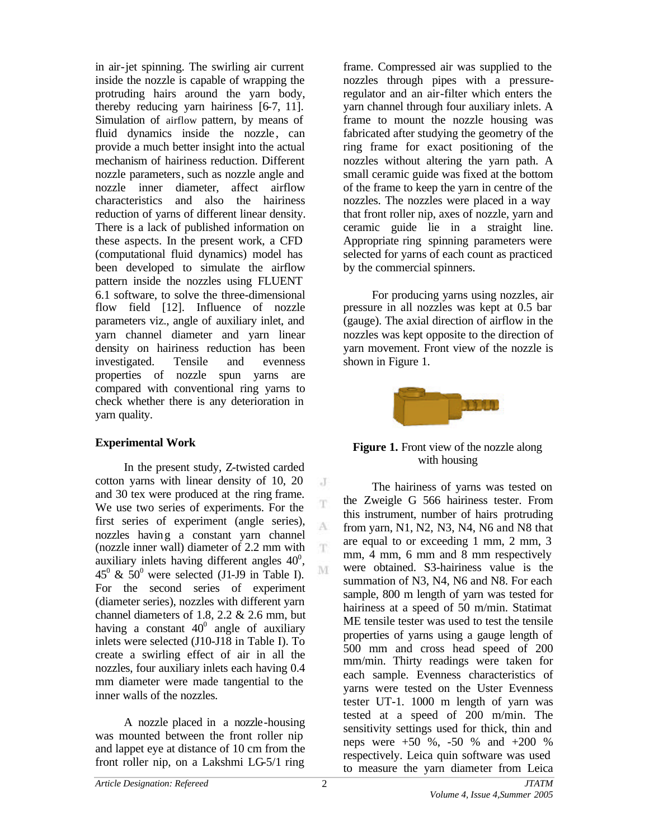in air-jet spinning. The swirling air current inside the nozzle is capable of wrapping the protruding hairs around the yarn body, thereby reducing yarn hairiness [6-7, 11]. Simulation of airflow pattern, by means of fluid dynamics inside the nozzle, can provide a much better insight into the actual mechanism of hairiness reduction. Different nozzle parameters, such as nozzle angle and nozzle inner diameter, affect airflow characteristics and also the hairiness reduction of yarns of different linear density. There is a lack of published information on these aspects. In the present work, a CFD (computational fluid dynamics) model has been developed to simulate the airflow pattern inside the nozzles using FLUENT 6.1 software, to solve the three-dimensional flow field [12]. Influence of nozzle parameters viz., angle of auxiliary inlet, and yarn channel diameter and yarn linear density on hairiness reduction has been investigated. Tensile and evenness properties of nozzle spun yarns are compared with conventional ring yarns to check whether there is any deterioration in yarn quality.

# **Experimental Work**

In the present study, Z-twisted carded cotton yarns with linear density of 10, 20 and 30 tex were produced at the ring frame. We use two series of experiments. For the first series of experiment (angle series), nozzles having a constant yarn channel (nozzle inner wall) diameter of 2.2 mm with auxiliary inlets having different angles  $40^{\circ}$ ,  $45^{\circ}$  &  $50^{\circ}$  were selected (J1-J9 in Table I). For the second series of experiment (diameter series), nozzles with different yarn channel diameters of 1.8, 2.2 & 2.6 mm, but having a constant  $40^{\circ}$  angle of auxiliary inlets were selected (J10-J18 in Table I). To create a swirling effect of air in all the nozzles, four auxiliary inlets each having 0.4 mm diameter were made tangential to the inner walls of the nozzles.

A nozzle placed in a nozzle-housing was mounted between the front roller nip and lappet eye at distance of 10 cm from the front roller nip, on a Lakshmi LG-5/1 ring

frame. Compressed air was supplied to the nozzles through pipes with a pressureregulator and an air-filter which enters the yarn channel through four auxiliary inlets. A frame to mount the nozzle housing was fabricated after studying the geometry of the ring frame for exact positioning of the nozzles without altering the yarn path. A small ceramic guide was fixed at the bottom of the frame to keep the yarn in centre of the nozzles. The nozzles were placed in a way that front roller nip, axes of nozzle, yarn and ceramic guide lie in a straight line. Appropriate ring spinning parameters were selected for yarns of each count as practiced by the commercial spinners.

For producing yarns using nozzles, air pressure in all nozzles was kept at 0.5 bar (gauge). The axial direction of airflow in the nozzles was kept opposite to the direction of yarn movement. Front view of the nozzle is shown in Figure 1.



**Figure 1.** Front view of the nozzle along with housing

The hairiness of yarns was tested on the Zweigle G 566 hairiness tester. From this instrument, number of hairs protruding from yarn, N1, N2, N3, N4, N6 and N8 that are equal to or exceeding 1 mm, 2 mm, 3 mm, 4 mm, 6 mm and 8 mm respectively were obtained. S3-hairiness value is the summation of N3, N4, N6 and N8. For each sample, 800 m length of yarn was tested for hairiness at a speed of 50 m/min. Statimat ME tensile tester was used to test the tensile properties of yarns using a gauge length of 500 mm and cross head speed of 200 mm/min. Thirty readings were taken for each sample. Evenness characteristics of yarns were tested on the Uster Evenness tester UT-1. 1000 m length of yarn was tested at a speed of 200 m/min. The sensitivity settings used for thick, thin and neps were +50 %, -50 % and +200 % respectively. Leica quin software was used to measure the yarn diameter from Leica

 $\rm J$ T.

A T.

M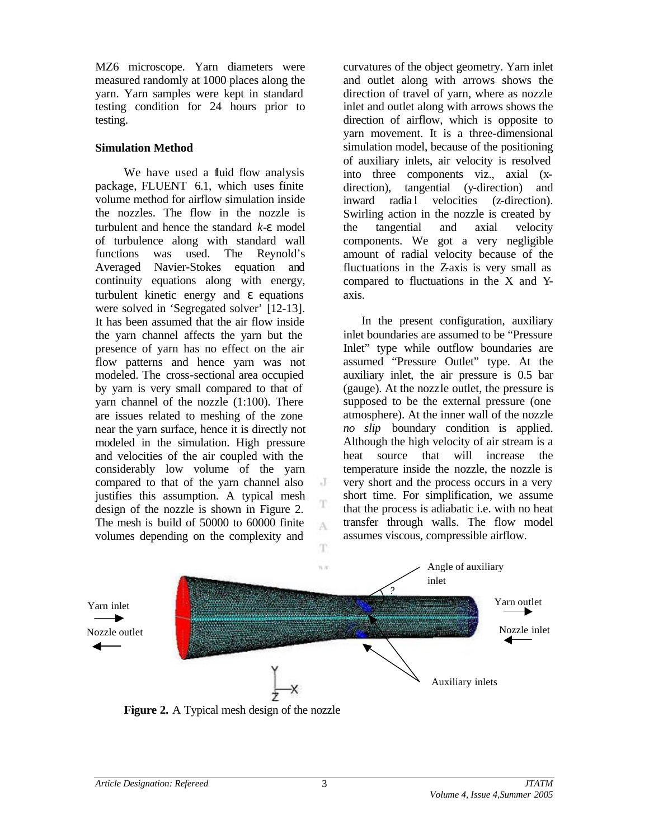MZ6 microscope. Yarn diameters were measured randomly at 1000 places along the yarn. Yarn samples were kept in standard testing condition for 24 hours prior to testing.

## **Simulation Method**

We have used a fluid flow analysis package, FLUENT 6.1, which uses finite volume method for airflow simulation inside the nozzles. The flow in the nozzle is turbulent and hence the standard *k-e* model of turbulence along with standard wall functions was used. The Reynold's Averaged Navier-Stokes equation and continuity equations along with energy, turbulent kinetic energy and *e* equations were solved in 'Segregated solver' [12-13]. It has been assumed that the air flow inside the yarn channel affects the yarn but the presence of yarn has no effect on the air flow patterns and hence yarn was not modeled. The cross-sectional area occupied by yarn is very small compared to that of yarn channel of the nozzle (1:100). There are issues related to meshing of the zone near the yarn surface, hence it is directly not modeled in the simulation. High pressure and velocities of the air coupled with the considerably low volume of the yarn compared to that of the yarn channel also justifies this assumption. A typical mesh design of the nozzle is shown in Figure 2. The mesh is build of 50000 to 60000 finite volumes depending on the complexity and

curvatures of the object geometry. Yarn inlet and outlet along with arrows shows the direction of travel of yarn, where as nozzle inlet and outlet along with arrows shows the direction of airflow, which is opposite to yarn movement. It is a three-dimensional simulation model, because of the positioning of auxiliary inlets, air velocity is resolved into three components viz., axial (xdirection), tangential (y-direction) and inward radia l velocities (z-direction). Swirling action in the nozzle is created by the tangential and axial velocity components. We got a very negligible amount of radial velocity because of the fluctuations in the Z-axis is very small as compared to fluctuations in the X and Yaxis.

 In the present configuration, auxiliary inlet boundaries are assumed to be "Pressure Inlet" type while outflow boundaries are assumed "Pressure Outlet" type. At the auxiliary inlet, the air pressure is 0.5 bar (gauge). At the nozzle outlet, the pressure is supposed to be the external pressure (one atmosphere). At the inner wall of the nozzle *no slip* boundary condition is applied. Although the high velocity of air stream is a heat source that will increase the temperature inside the nozzle, the nozzle is very short and the process occurs in a very short time. For simplification, we assume that the process is adiabatic i.e. with no heat transfer through walls. The flow model assumes viscous, compressible airflow.



J

T A

T

**Figure 2.** A Typical mesh design of the nozzle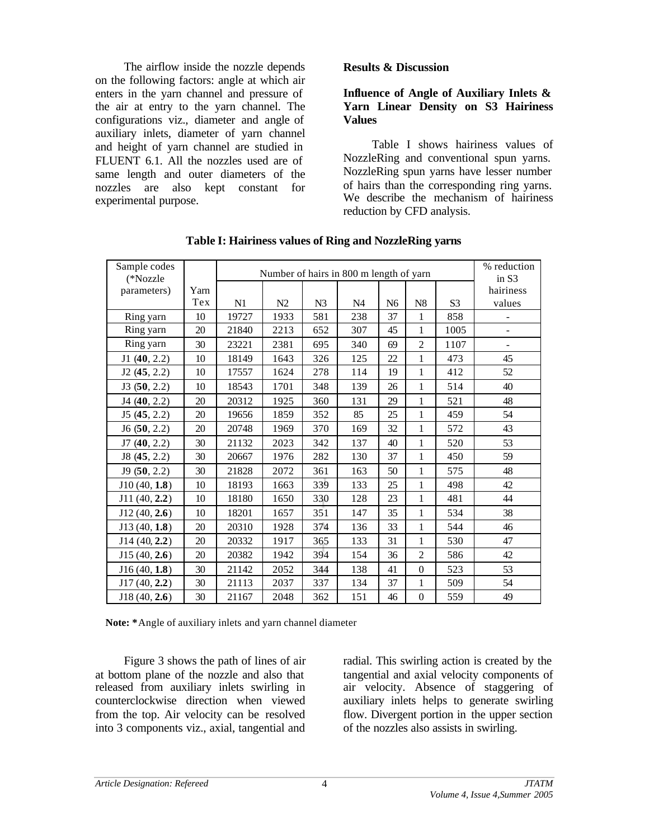The airflow inside the nozzle depends on the following factors: angle at which air enters in the yarn channel and pressure of the air at entry to the yarn channel. The configurations viz., diameter and angle of auxiliary inlets, diameter of yarn channel and height of yarn channel are studied in FLUENT 6.1. All the nozzles used are of same length and outer diameters of the nozzles are also kept constant for experimental purpose.

### **Results & Discussion**

## **Influence of Angle of Auxiliary Inlets & Yarn Linear Density on S3 Hairiness Values**

Table I shows hairiness values of NozzleRing and conventional spun yarns. NozzleRing spun yarns have lesser number of hairs than the corresponding ring yarns. We describe the mechanism of hairiness reduction by CFD analysis.

| Sample codes |      |                                         | % reduction |                |                |                |                  |                |                          |
|--------------|------|-----------------------------------------|-------------|----------------|----------------|----------------|------------------|----------------|--------------------------|
| (*Nozzle     |      | Number of hairs in 800 m length of yarn |             |                |                |                |                  |                | in S3                    |
| parameters)  | Yarn |                                         |             |                |                |                |                  |                | hairiness                |
|              | Tex  | N1                                      | N2          | N <sub>3</sub> | N <sub>4</sub> | N <sub>6</sub> | ${\bf N8}$       | S <sub>3</sub> | values                   |
| Ring yarn    | 10   | 19727                                   | 1933        | 581            | 238            | 37             | 1                | 858            |                          |
| Ring yarn    | 20   | 21840                                   | 2213        | 652            | 307            | 45             | $\mathbf{1}$     | 1005           | $\blacksquare$           |
| Ring yarn    | 30   | 23221                                   | 2381        | 695            | 340            | 69             | $\overline{c}$   | 1107           | $\overline{\phantom{m}}$ |
| J1(40, 2.2)  | 10   | 18149                                   | 1643        | 326            | 125            | 22             | 1                | 473            | 45                       |
| J2(45, 2.2)  | 10   | 17557                                   | 1624        | 278            | 114            | 19             | $\mathbf{1}$     | 412            | 52                       |
| J3(50, 2.2)  | 10   | 18543                                   | 1701        | 348            | 139            | 26             | 1                | 514            | 40                       |
| J4(40, 2.2)  | 20   | 20312                                   | 1925        | 360            | 131            | 29             | $\mathbf{1}$     | 521            | 48                       |
| J5(45, 2.2)  | 20   | 19656                                   | 1859        | 352            | 85             | 25             | 1                | 459            | 54                       |
| J6(50, 2.2)  | 20   | 20748                                   | 1969        | 370            | 169            | 32             | 1                | 572            | 43                       |
| J7(40, 2.2)  | 30   | 21132                                   | 2023        | 342            | 137            | 40             | 1                | 520            | 53                       |
| J8(45, 2.2)  | 30   | 20667                                   | 1976        | 282            | 130            | 37             | 1                | 450            | 59                       |
| J9(50, 2.2)  | 30   | 21828                                   | 2072        | 361            | 163            | 50             | $\mathbf{1}$     | 575            | 48                       |
| J10(40, 1.8) | 10   | 18193                                   | 1663        | 339            | 133            | 25             | $\mathbf{1}$     | 498            | 42                       |
| J11(40, 2.2) | 10   | 18180                                   | 1650        | 330            | 128            | 23             | $\mathbf{1}$     | 481            | 44                       |
| J12(40, 2.6) | 10   | 18201                                   | 1657        | 351            | 147            | 35             | $\mathbf{1}$     | 534            | 38                       |
| J13(40, 1.8) | 20   | 20310                                   | 1928        | 374            | 136            | 33             | $\mathbf{1}$     | 544            | 46                       |
| J14(40, 2.2) | 20   | 20332                                   | 1917        | 365            | 133            | 31             | $\mathbf{1}$     | 530            | 47                       |
| J15(40, 2.6) | 20   | 20382                                   | 1942        | 394            | 154            | 36             | $\overline{c}$   | 586            | 42                       |
| J16(40, 1.8) | 30   | 21142                                   | 2052        | 344            | 138            | 41             | $\boldsymbol{0}$ | 523            | 53                       |
| J17(40, 2.2) | 30   | 21113                                   | 2037        | 337            | 134            | 37             | $\mathbf{1}$     | 509            | 54                       |
| J18(40, 2.6) | 30   | 21167                                   | 2048        | 362            | 151            | 46             | $\boldsymbol{0}$ | 559            | 49                       |

**Table I: Hairiness values of Ring and NozzleRing yarns**

 **Note: \***Angle of auxiliary inlets and yarn channel diameter

Figure 3 shows the path of lines of air at bottom plane of the nozzle and also that released from auxiliary inlets swirling in counterclockwise direction when viewed from the top. Air velocity can be resolved into 3 components viz., axial, tangential and

radial. This swirling action is created by the tangential and axial velocity components of air velocity. Absence of staggering of auxiliary inlets helps to generate swirling flow. Divergent portion in the upper section of the nozzles also assists in swirling.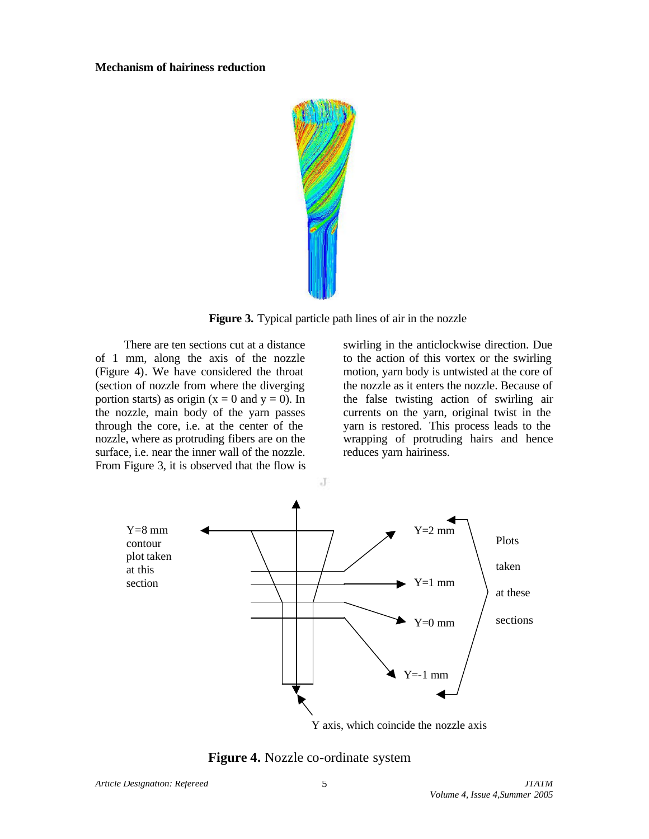#### **Mechanism of hairiness reduction**



**Figure 3.** Typical particle path lines of air in the nozzle

There are ten sections cut at a distance of 1 mm, along the axis of the nozzle (Figure 4). We have considered the throat (section of nozzle from where the diverging portion starts) as origin ( $x = 0$  and  $y = 0$ ). In the nozzle, main body of the yarn passes through the core, i.e. at the center of the nozzle, where as protruding fibers are on the surface, i.e. near the inner wall of the nozzle. From Figure 3, it is observed that the flow is

swirling in the anticlockwise direction. Due to the action of this vortex or the swirling motion, yarn body is untwisted at the core of the nozzle as it enters the nozzle. Because of the false twisting action of swirling air currents on the yarn, original twist in the yarn is restored. This process leads to the wrapping of protruding hairs and hence reduces yarn hairiness.



**Figure 4.** Nozzle co-ordinate system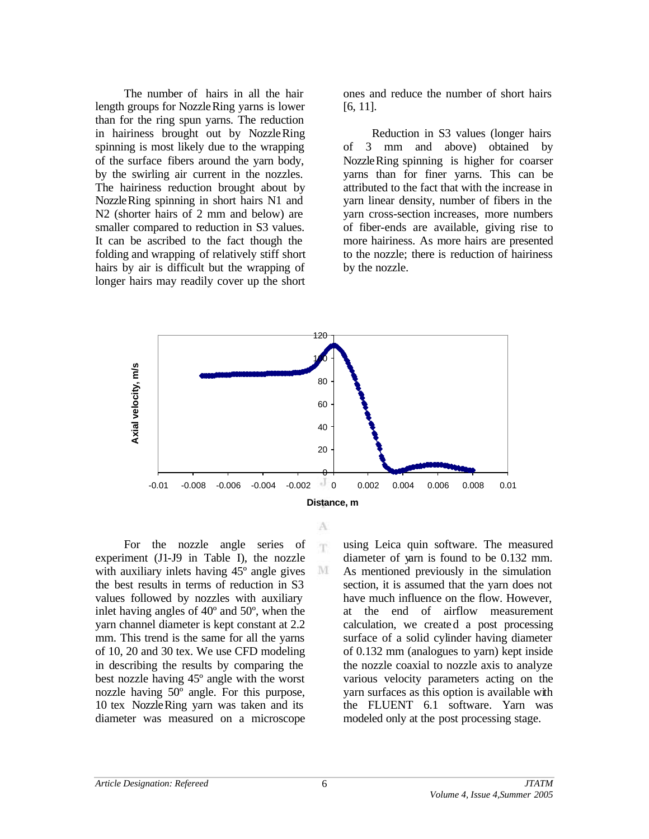The number of hairs in all the hair length groups for NozzleRing yarns is lower than for the ring spun yarns. The reduction in hairiness brought out by NozzleRing spinning is most likely due to the wrapping of the surface fibers around the yarn body, by the swirling air current in the nozzles. The hairiness reduction brought about by NozzleRing spinning in short hairs N1 and N2 (shorter hairs of 2 mm and below) are smaller compared to reduction in S3 values. It can be ascribed to the fact though the folding and wrapping of relatively stiff short hairs by air is difficult but the wrapping of longer hairs may readily cover up the short

ones and reduce the number of short hairs [6, 11].

Reduction in S3 values (longer hairs of 3 mm and above) obtained by NozzleRing spinning is higher for coarser yarns than for finer yarns. This can be attributed to the fact that with the increase in yarn linear density, number of fibers in the yarn cross-section increases, more numbers of fiber-ends are available, giving rise to more hairiness. As more hairs are presented to the nozzle; there is reduction of hairiness by the nozzle.



A 'n

M

For the nozzle angle series of experiment (J1-J9 in Table I), the nozzle with auxiliary inlets having  $45^{\circ}$  angle gives the best results in terms of reduction in S3 values followed by nozzles with auxiliary inlet having angles of 40º and 50º, when the yarn channel diameter is kept constant at 2.2 mm. This trend is the same for all the yarns of 10, 20 and 30 tex. We use CFD modeling in describing the results by comparing the best nozzle having 45º angle with the worst nozzle having 50º angle. For this purpose, 10 tex NozzleRing yarn was taken and its diameter was measured on a microscope

using Leica quin software. The measured diameter of yarn is found to be 0.132 mm. As mentioned previously in the simulation section, it is assumed that the yarn does not have much influence on the flow. However, at the end of airflow measurement calculation, we created a post processing surface of a solid cylinder having diameter of 0.132 mm (analogues to yarn) kept inside the nozzle coaxial to nozzle axis to analyze various velocity parameters acting on the yarn surfaces as this option is available with the FLUENT 6.1 software. Yarn was modeled only at the post processing stage.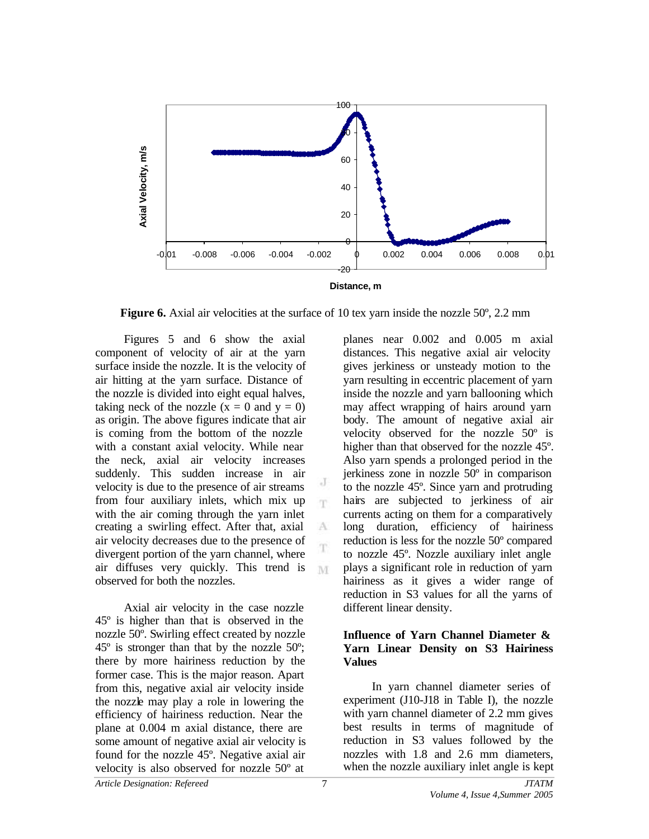

**Figure 6.** Axial air velocities at the surface of 10 tex yarn inside the nozzle 50<sup>°</sup>, 2.2 mm

J m

A

M

Figures 5 and 6 show the axial component of velocity of air at the yarn surface inside the nozzle. It is the velocity of air hitting at the yarn surface. Distance of the nozzle is divided into eight equal halves, taking neck of the nozzle  $(x = 0$  and  $y = 0)$ as origin. The above figures indicate that air is coming from the bottom of the nozzle with a constant axial velocity. While near the neck, axial air velocity increases suddenly. This sudden increase in air velocity is due to the presence of air streams from four auxiliary inlets, which mix up with the air coming through the yarn inlet creating a swirling effect. After that, axial air velocity decreases due to the presence of divergent portion of the yarn channel, where air diffuses very quickly. This trend is observed for both the nozzles.

Axial air velocity in the case nozzle 45º is higher than that is observed in the nozzle 50º. Swirling effect created by nozzle  $45^\circ$  is stronger than that by the nozzle  $50^\circ$ ; there by more hairiness reduction by the former case. This is the major reason. Apart from this, negative axial air velocity inside the nozzle may play a role in lowering the efficiency of hairiness reduction. Near the plane at 0.004 m axial distance, there are some amount of negative axial air velocity is found for the nozzle 45º. Negative axial air velocity is also observed for nozzle 50º at

planes near 0.002 and 0.005 m axial distances. This negative axial air velocity gives jerkiness or unsteady motion to the yarn resulting in eccentric placement of yarn inside the nozzle and yarn ballooning which may affect wrapping of hairs around yarn body. The amount of negative axial air velocity observed for the nozzle 50º is higher than that observed for the nozzle 45º. Also yarn spends a prolonged period in the jerkiness zone in nozzle 50º in comparison to the nozzle 45º. Since yarn and protruding hairs are subjected to jerkiness of air currents acting on them for a comparatively long duration, efficiency of hairiness reduction is less for the nozzle 50º compared to nozzle 45º. Nozzle auxiliary inlet angle plays a significant role in reduction of yarn hairiness as it gives a wider range of reduction in S3 values for all the yarns of different linear density.

## **Influence of Yarn Channel Diameter & Yarn Linear Density on S3 Hairiness Values**

In yarn channel diameter series of experiment (J10-J18 in Table I), the nozzle with yarn channel diameter of 2.2 mm gives best results in terms of magnitude of reduction in S3 values followed by the nozzles with 1.8 and 2.6 mm diameters, when the nozzle auxiliary inlet angle is kept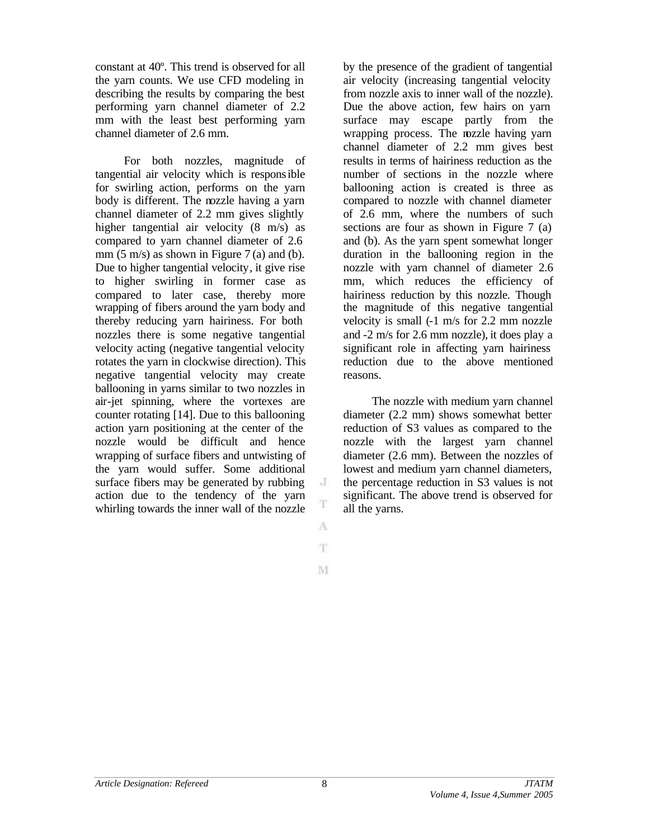constant at 40º. This trend is observed for all the yarn counts. We use CFD modeling in describing the results by comparing the best performing yarn channel diameter of 2.2 mm with the least best performing yarn channel diameter of 2.6 mm.

For both nozzles, magnitude of tangential air velocity which is responsible for swirling action, performs on the yarn body is different. The nozzle having a yarn channel diameter of 2.2 mm gives slightly higher tangential air velocity (8 m/s) as compared to yarn channel diameter of 2.6 mm  $(5 \text{ m/s})$  as shown in Figure 7 (a) and (b). Due to higher tangential velocity, it give rise to higher swirling in former case as compared to later case, thereby more wrapping of fibers around the yarn body and thereby reducing yarn hairiness. For both nozzles there is some negative tangential velocity acting (negative tangential velocity rotates the yarn in clockwise direction). This negative tangential velocity may create ballooning in yarns similar to two nozzles in air-jet spinning, where the vortexes are counter rotating [14]. Due to this ballooning action yarn positioning at the center of the nozzle would be difficult and hence wrapping of surface fibers and untwisting of the yarn would suffer. Some additional surface fibers may be generated by rubbing action due to the tendency of the yarn whirling towards the inner wall of the nozzle

by the presence of the gradient of tangential air velocity (increasing tangential velocity from nozzle axis to inner wall of the nozzle). Due the above action, few hairs on yarn surface may escape partly from the wrapping process. The nozzle having yarn channel diameter of 2.2 mm gives best results in terms of hairiness reduction as the number of sections in the nozzle where ballooning action is created is three as compared to nozzle with channel diameter of 2.6 mm, where the numbers of such sections are four as shown in Figure 7 (a) and (b). As the yarn spent somewhat longer duration in the ballooning region in the nozzle with yarn channel of diameter 2.6 mm, which reduces the efficiency of hairiness reduction by this nozzle. Though the magnitude of this negative tangential velocity is small (-1 m/s for 2.2 mm nozzle and -2 m/s for 2.6 mm nozzle), it does play a significant role in affecting yarn hairiness reduction due to the above mentioned reasons.

The nozzle with medium yarn channel diameter (2.2 mm) shows somewhat better reduction of S3 values as compared to the nozzle with the largest yarn channel diameter (2.6 mm). Between the nozzles of lowest and medium yarn channel diameters, the percentage reduction in S3 values is not significant. The above trend is observed for all the yarns.

 $\cdot$ T

T A T.

M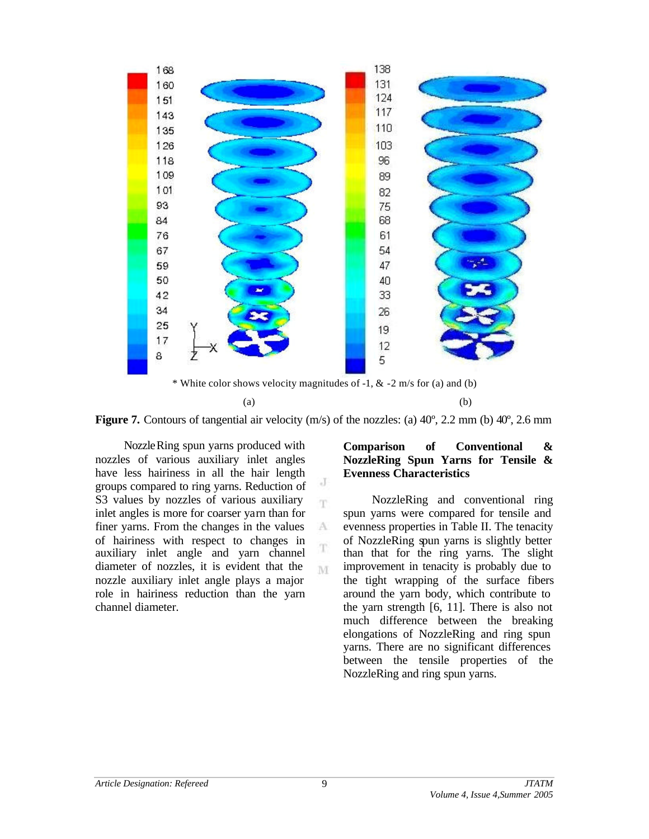

\* White color shows velocity magnitudes of -1, & -2 m/s for (a) and (b)

 $(a)$  (b)



J m.

 $\Lambda$ T

M

NozzleRing spun yarns produced with nozzles of various auxiliary inlet angles have less hairiness in all the hair length groups compared to ring yarns. Reduction of S3 values by nozzles of various auxiliary inlet angles is more for coarser yarn than for finer yarns. From the changes in the values of hairiness with respect to changes in auxiliary inlet angle and yarn channel diameter of nozzles, it is evident that the nozzle auxiliary inlet angle plays a major role in hairiness reduction than the yarn channel diameter.

## **Comparison of Conventional & NozzleRing Spun Yarns for Tensile & Evenness Characteristics**

NozzleRing and conventional ring spun yarns were compared for tensile and evenness properties in Table II. The tenacity of NozzleRing spun yarns is slightly better than that for the ring yarns. The slight improvement in tenacity is probably due to the tight wrapping of the surface fibers around the yarn body, which contribute to the yarn strength [6, 11]. There is also not much difference between the breaking elongations of NozzleRing and ring spun yarns. There are no significant differences between the tensile properties of the NozzleRing and ring spun yarns.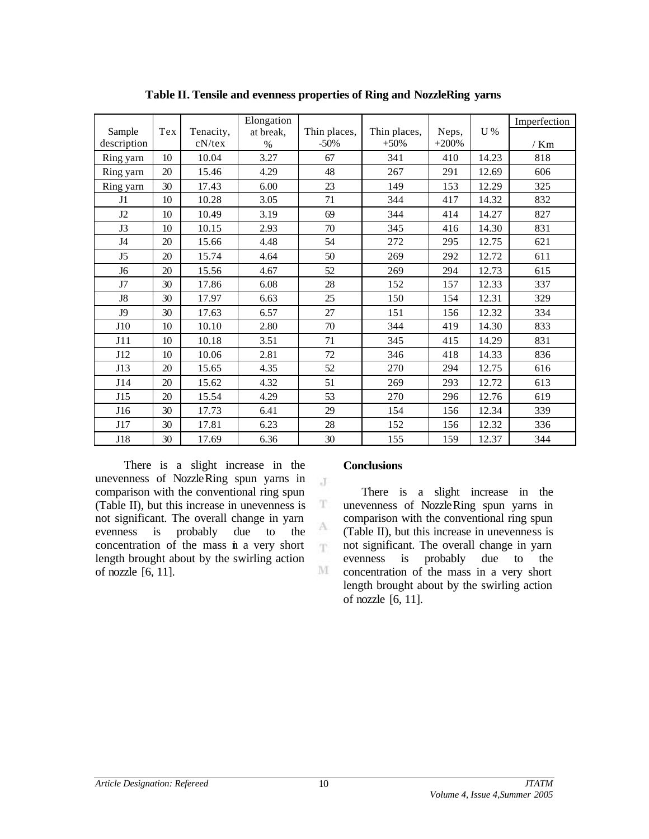|                |     |           | Elongation |              |              |         |       | Imperfection |
|----------------|-----|-----------|------------|--------------|--------------|---------|-------|--------------|
| Sample         | Tex | Tenacity, | at break,  | Thin places, | Thin places, | Neps,   | U%    |              |
| description    |     | $cN$ /tex | $\%$       | $-50%$       | $+50%$       | $+200%$ |       | $/$ Km       |
| Ring yarn      | 10  | 10.04     | 3.27       | 67           | 341          | 410     | 14.23 | 818          |
| Ring yarn      | 20  | 15.46     | 4.29       | 48           | 267          | 291     | 12.69 | 606          |
| Ring yarn      | 30  | 17.43     | 6.00       | 23           | 149          | 153     | 12.29 | 325          |
| J1             | 10  | 10.28     | 3.05       | 71           | 344          | 417     | 14.32 | 832          |
| J2             | 10  | 10.49     | 3.19       | 69           | 344          | 414     | 14.27 | 827          |
| J3             | 10  | 10.15     | 2.93       | 70           | 345          | 416     | 14.30 | 831          |
| J4             | 20  | 15.66     | 4.48       | 54           | 272          | 295     | 12.75 | 621          |
| J <sub>5</sub> | 20  | 15.74     | 4.64       | 50           | 269          | 292     | 12.72 | 611          |
| J6             | 20  | 15.56     | 4.67       | 52           | 269          | 294     | 12.73 | 615          |
| J7             | 30  | 17.86     | 6.08       | 28           | 152          | 157     | 12.33 | 337          |
| J8             | 30  | 17.97     | 6.63       | 25           | 150          | 154     | 12.31 | 329          |
| J9             | 30  | 17.63     | 6.57       | 27           | 151          | 156     | 12.32 | 334          |
| J10            | 10  | 10.10     | 2.80       | 70           | 344          | 419     | 14.30 | 833          |
| J11            | 10  | 10.18     | 3.51       | 71           | 345          | 415     | 14.29 | 831          |
| J12            | 10  | 10.06     | 2.81       | 72           | 346          | 418     | 14.33 | 836          |
| J13            | 20  | 15.65     | 4.35       | 52           | 270          | 294     | 12.75 | 616          |
| J14            | 20  | 15.62     | 4.32       | 51           | 269          | 293     | 12.72 | 613          |
| J15            | 20  | 15.54     | 4.29       | 53           | 270          | 296     | 12.76 | 619          |
| J16            | 30  | 17.73     | 6.41       | 29           | 154          | 156     | 12.34 | 339          |
| J17            | 30  | 17.81     | 6.23       | 28           | 152          | 156     | 12.32 | 336          |
| J18            | 30  | 17.69     | 6.36       | 30           | 155          | 159     | 12.37 | 344          |

 $\mathbf{J}$ 

 $\mathbf T$ 

A T.

 $\mathbf{M}$ 

**Table II. Tensile and evenness properties of Ring and NozzleRing yarns**

There is a slight increase in the unevenness of NozzleRing spun yarns in comparison with the conventional ring spun (Table II), but this increase in unevenness is not significant. The overall change in yarn evenness is probably due to the concentration of the mass in a very short length brought about by the swirling action of nozzle [6, 11].

### **Conclusions**

There is a slight increase in the unevenness of NozzleRing spun yarns in comparison with the conventional ring spun (Table II), but this increase in unevenness is not significant. The overall change in yarn evenness is probably due to the concentration of the mass in a very short length brought about by the swirling action of nozzle [6, 11].